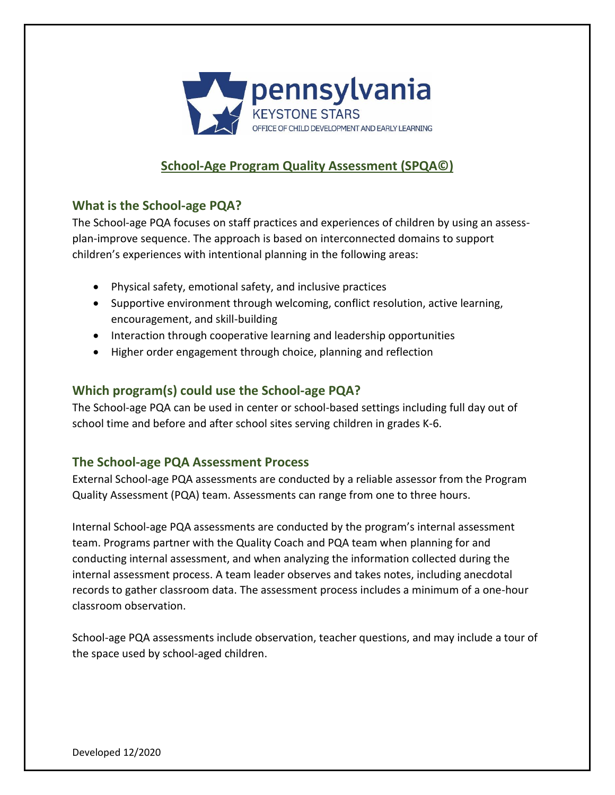

# **School-Age Program Quality Assessment (SPQA©)**

## **What is the School-age PQA?**

The School-age PQA focuses on staff practices and experiences of children by using an assessplan-improve sequence. The approach is based on interconnected domains to support children's experiences with intentional planning in the following areas:

- Physical safety, emotional safety, and inclusive practices
- Supportive environment through welcoming, conflict resolution, active learning, encouragement, and skill-building
- Interaction through cooperative learning and leadership opportunities
- Higher order engagement through choice, planning and reflection

#### **Which program(s) could use the School-age PQA?**

The School-age PQA can be used in center or school-based settings including full day out of school time and before and after school sites serving children in grades K-6.

#### **The School-age PQA Assessment Process**

External School-age PQA assessments are conducted by a reliable assessor from the Program Quality Assessment (PQA) team. Assessments can range from one to three hours.

Internal School-age PQA assessments are conducted by the program's internal assessment team. Programs partner with the Quality Coach and PQA team when planning for and conducting internal assessment, and when analyzing the information collected during the internal assessment process. A team leader observes and takes notes, including anecdotal records to gather classroom data. The assessment process includes a minimum of a one-hour classroom observation.

School-age PQA assessments include observation, teacher questions, and may include a tour of the space used by school-aged children.